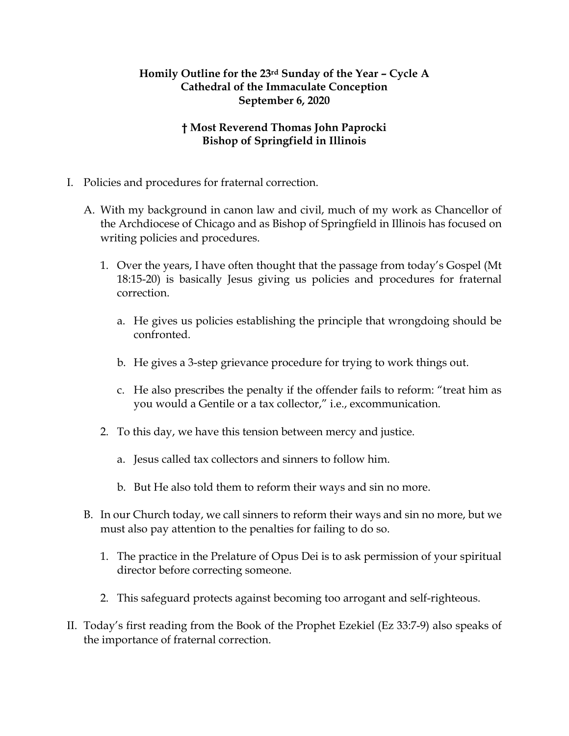## **Homily Outline for the 23rd Sunday of the Year – Cycle A Cathedral of the Immaculate Conception September 6, 2020**

## **† Most Reverend Thomas John Paprocki Bishop of Springfield in Illinois**

- I. Policies and procedures for fraternal correction.
	- A. With my background in canon law and civil, much of my work as Chancellor of the Archdiocese of Chicago and as Bishop of Springfield in Illinois has focused on writing policies and procedures.
		- 1. Over the years, I have often thought that the passage from today's Gospel (Mt 18:15-20) is basically Jesus giving us policies and procedures for fraternal correction.
			- a. He gives us policies establishing the principle that wrongdoing should be confronted.
			- b. He gives a 3-step grievance procedure for trying to work things out.
			- c. He also prescribes the penalty if the offender fails to reform: "treat him as you would a Gentile or a tax collector," i.e., excommunication.
		- 2. To this day, we have this tension between mercy and justice.
			- a. Jesus called tax collectors and sinners to follow him.
			- b. But He also told them to reform their ways and sin no more.
	- B. In our Church today, we call sinners to reform their ways and sin no more, but we must also pay attention to the penalties for failing to do so.
		- 1. The practice in the Prelature of Opus Dei is to ask permission of your spiritual director before correcting someone.
		- 2. This safeguard protects against becoming too arrogant and self-righteous.
- II. Today's first reading from the Book of the Prophet Ezekiel (Ez 33:7-9) also speaks of the importance of fraternal correction.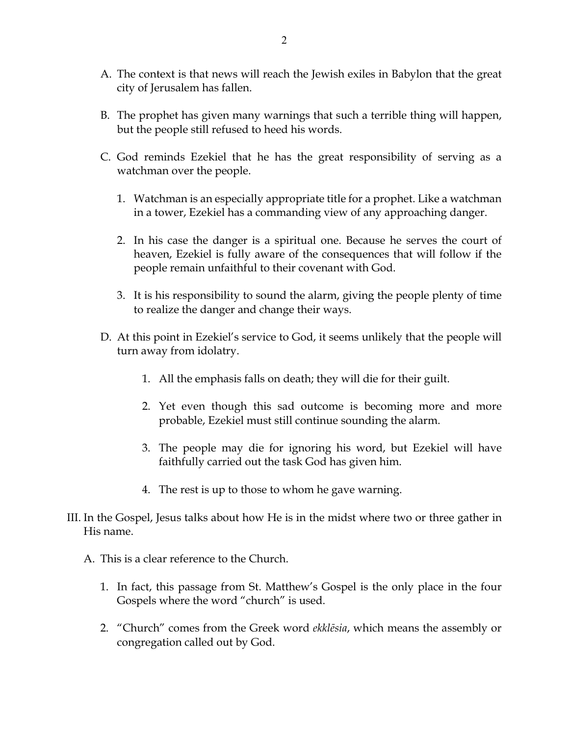- A. The context is that news will reach the Jewish exiles in Babylon that the great city of Jerusalem has fallen.
- B. The prophet has given many warnings that such a terrible thing will happen, but the people still refused to heed his words.
- C. God reminds Ezekiel that he has the great responsibility of serving as a watchman over the people.
	- 1. Watchman is an especially appropriate title for a prophet. Like a watchman in a tower, Ezekiel has a commanding view of any approaching danger.
	- 2. In his case the danger is a spiritual one. Because he serves the court of heaven, Ezekiel is fully aware of the consequences that will follow if the people remain unfaithful to their covenant with God.
	- 3. It is his responsibility to sound the alarm, giving the people plenty of time to realize the danger and change their ways.
- D. At this point in Ezekiel's service to God, it seems unlikely that the people will turn away from idolatry.
	- 1. All the emphasis falls on death; they will die for their guilt.
	- 2. Yet even though this sad outcome is becoming more and more probable, Ezekiel must still continue sounding the alarm.
	- 3. The people may die for ignoring his word, but Ezekiel will have faithfully carried out the task God has given him.
	- 4. The rest is up to those to whom he gave warning.
- III. In the Gospel, Jesus talks about how He is in the midst where two or three gather in His name.
	- A. This is a clear reference to the Church.
		- 1. In fact, this passage from St. Matthew's Gospel is the only place in the four Gospels where the word "church" is used.
		- 2. "Church" comes from the Greek word *ekklēsia*, which means the assembly or congregation called out by God.